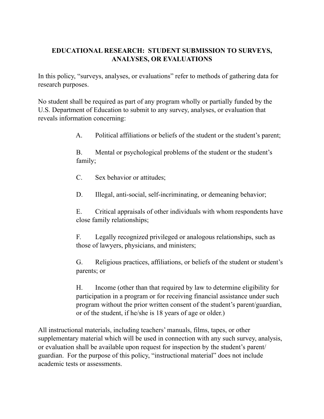## **EDUCATIONAL RESEARCH: STUDENT SUBMISSION TO SURVEYS, ANALYSES, OR EVALUATIONS**

In this policy, "surveys, analyses, or evaluations" refer to methods of gathering data for research purposes.

No student shall be required as part of any program wholly or partially funded by the U.S. Department of Education to submit to any survey, analyses, or evaluation that reveals information concerning:

A. Political affiliations or beliefs of the student or the student's parent;

B. Mental or psychological problems of the student or the student's family;

- C. Sex behavior or attitudes;
- D. Illegal, anti-social, self-incriminating, or demeaning behavior;

 E. Critical appraisals of other individuals with whom respondents have close family relationships;

 F. Legally recognized privileged or analogous relationships, such as those of lawyers, physicians, and ministers;

 G. Religious practices, affiliations, or beliefs of the student or student's parents; or

 H. Income (other than that required by law to determine eligibility for participation in a program or for receiving financial assistance under such program without the prior written consent of the student's parent/guardian, or of the student, if he/she is 18 years of age or older.)

All instructional materials, including teachers' manuals, films, tapes, or other supplementary material which will be used in connection with any such survey, analysis, or evaluation shall be available upon request for inspection by the student's parent/ guardian. For the purpose of this policy, "instructional material" does not include academic tests or assessments.